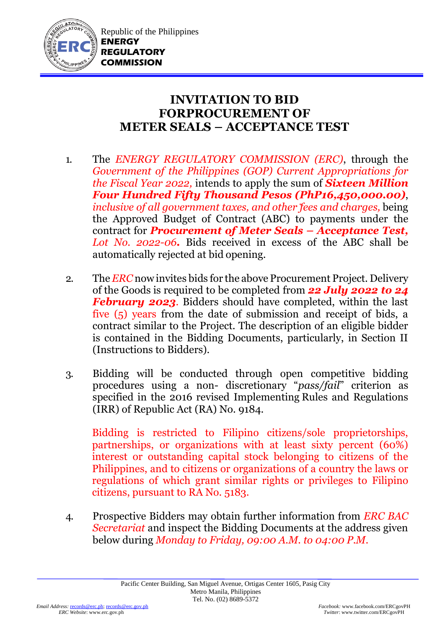

## **INVITATION TO BID FORPROCUREMENT OF METER SEALS – ACCEPTANCE TEST**

- 1. The *ENERGY REGULATORY COMMISSION (ERC)*, through the *Government of the Philippines (GOP) Current Appropriations for the Fiscal Year 2022,* intends to apply the sum of *Sixteen Million Four Hundred Fifty Thousand Pesos (PhP16,450,000.00)*, *inclusive of all government taxes, and other fees and charges,* being the Approved Budget of Contract (ABC) to payments under the contract for *Procurement of Meter Seals – Acceptance Test, Lot No. 2022-06.* Bids received in excess of the ABC shall be automatically rejected at bid opening.
- 2. The *ERC* now invites bids for the above Procurement Project. Delivery of the Goods is required to be completed from *22 July 2022 to 24 February 2023*. Bidders should have completed, within the last five (5) years from the date of submission and receipt of bids, a contract similar to the Project. The description of an eligible bidder is contained in the Bidding Documents, particularly, in Section II (Instructions to Bidders).
- 3. Bidding will be conducted through open competitive bidding procedures using a non- discretionary "*pass/fail*" criterion as specified in the 2016 revised Implementing Rules and Regulations (IRR) of Republic Act (RA) No. 9184.

Bidding is restricted to Filipino citizens/sole proprietorships, partnerships, or organizations with at least sixty percent (60%) interest or outstanding capital stock belonging to citizens of the Philippines, and to citizens or organizations of a country the laws or regulations of which grant similar rights or privileges to Filipino citizens, pursuant to RA No. 5183.

4. Prospective Bidders may obtain further information from *ERC BAC Secretariat* and inspect the Bidding Documents at the address given below during *Monday to Friday, 09:00 A.M. to 04:00 P.M*.

 $Twitter:$  www.twitter.com/ERCgovPH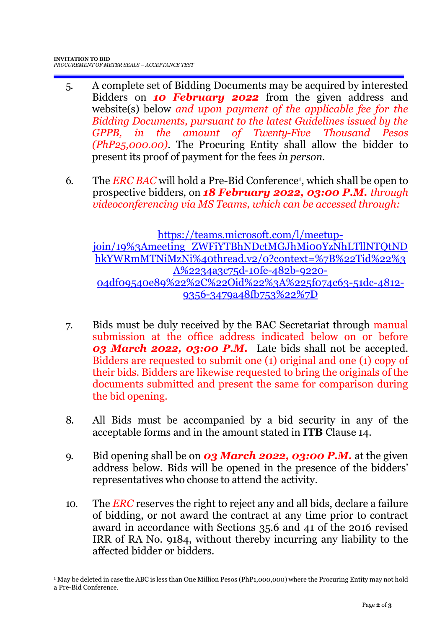1

- 5. A complete set of Bidding Documents may be acquired by interested Bidders on *10 February 2022* from the given address and website(s) below *and upon payment of the applicable fee for the Bidding Documents, pursuant to the latest Guidelines issued by the GPPB, in the amount of Twenty-Five Thousand Pesos (PhP25,000.00)*. The Procuring Entity shall allow the bidder to present its proof of payment for the fees *in person.*
- 6. The *ERC BAC* will hold a Pre-Bid Conference<sup>1</sup> , which shall be open to prospective bidders, on *18 February 2022, 03:00 P.M. through videoconferencing via MS Teams, which can be accessed through:*

[https://teams.microsoft.com/l/meetup](https://teams.microsoft.com/l/meetup-join/19%3Ameeting_ZWFiYTBhNDctMGJhMi00YzNhLTllNTQtNDhkYWRmMTNiMzNi%40thread.v2/0?context=%7B%22Tid%22%3A%2234a3c75d-10fe-482b-9220-04df09540e89%22%2C%22Oid%22%3A%225f074c63-51dc-4812-9356-3479a48fb753%22%7D)join/19%3Ameeting\_ZWFiYTBhNDctMGJhMiooYzNhLTllNTQtND [hkYWRmMTNiMzNi%40thread.v2/0?context=%7B%22Tid%22%3](https://teams.microsoft.com/l/meetup-join/19%3Ameeting_ZWFiYTBhNDctMGJhMi00YzNhLTllNTQtNDhkYWRmMTNiMzNi%40thread.v2/0?context=%7B%22Tid%22%3A%2234a3c75d-10fe-482b-9220-04df09540e89%22%2C%22Oid%22%3A%225f074c63-51dc-4812-9356-3479a48fb753%22%7D) [A%2234a3c75d-10fe-482b-9220-](https://teams.microsoft.com/l/meetup-join/19%3Ameeting_ZWFiYTBhNDctMGJhMi00YzNhLTllNTQtNDhkYWRmMTNiMzNi%40thread.v2/0?context=%7B%22Tid%22%3A%2234a3c75d-10fe-482b-9220-04df09540e89%22%2C%22Oid%22%3A%225f074c63-51dc-4812-9356-3479a48fb753%22%7D) [04df09540e89%22%2C%22Oid%22%3A%225f074c63-51dc-4812-](https://teams.microsoft.com/l/meetup-join/19%3Ameeting_ZWFiYTBhNDctMGJhMi00YzNhLTllNTQtNDhkYWRmMTNiMzNi%40thread.v2/0?context=%7B%22Tid%22%3A%2234a3c75d-10fe-482b-9220-04df09540e89%22%2C%22Oid%22%3A%225f074c63-51dc-4812-9356-3479a48fb753%22%7D) [9356-3479a48fb753%22%7D](https://teams.microsoft.com/l/meetup-join/19%3Ameeting_ZWFiYTBhNDctMGJhMi00YzNhLTllNTQtNDhkYWRmMTNiMzNi%40thread.v2/0?context=%7B%22Tid%22%3A%2234a3c75d-10fe-482b-9220-04df09540e89%22%2C%22Oid%22%3A%225f074c63-51dc-4812-9356-3479a48fb753%22%7D)

- 7. Bids must be duly received by the BAC Secretariat through manual submission at the office address indicated below on or before *03 March 2022, 03:00 P.M.* Late bids shall not be accepted. Bidders are requested to submit one (1) original and one (1) copy of their bids. Bidders are likewise requested to bring the originals of the documents submitted and present the same for comparison during the bid opening.
- 8. All Bids must be accompanied by a bid security in any of the acceptable forms and in the amount stated in **ITB** Clause 14.
- 9. Bid opening shall be on *03 March 2022, 03:00 P.M.* at the given address below. Bids will be opened in the presence of the bidders' representatives who choose to attend the activity.
- 10. The *ERC* reserves the right to reject any and all bids, declare a failure of bidding, or not award the contract at any time prior to contract award in accordance with Sections 35.6 and 41 of the 2016 revised IRR of RA No. 9184, without thereby incurring any liability to the affected bidder or bidders.

<sup>1</sup> May be deleted in case the ABC is less than One Million Pesos (PhP1,000,000) where the Procuring Entity may not hold a Pre-Bid Conference.